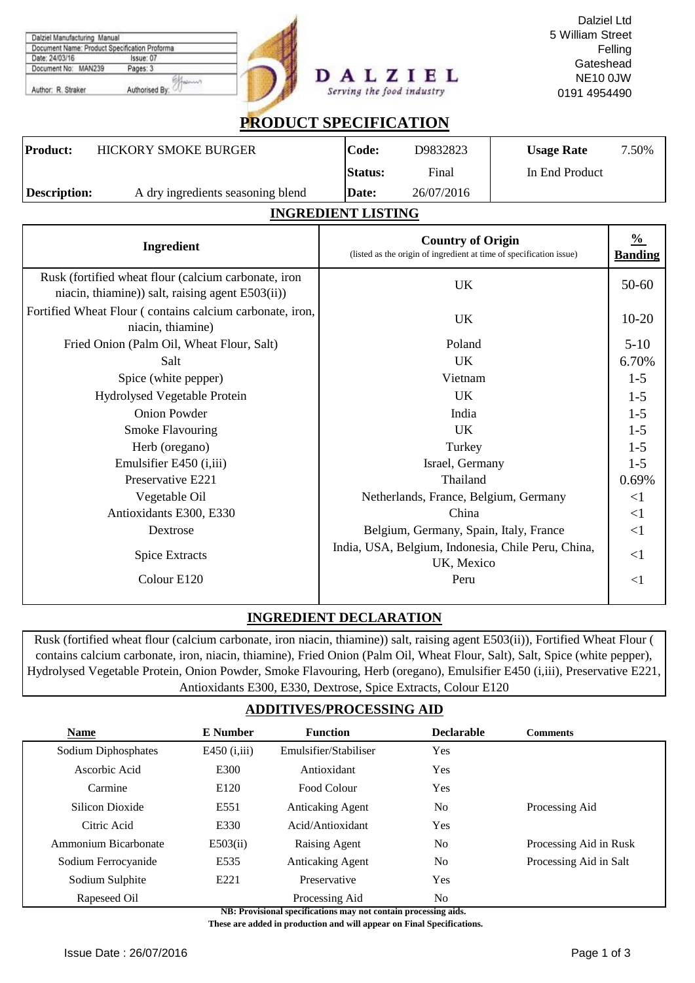|                                               |                           | Dalziel Ltd      |
|-----------------------------------------------|---------------------------|------------------|
| Dalziel Manufacturing Manual                  |                           | 5 William Street |
| Document Name: Product Specification Proforma |                           | Felling          |
| Date: 24/03/16<br>Issue: 07                   |                           | Gateshead        |
| Document No: MAN239<br>Pages: 3               |                           |                  |
|                                               | DALZIEL                   | <b>NE10 0JW</b>  |
| Authorised By:<br>Author: R. Straker          | Serving the food industry | 0191 4954490     |
|                                               |                           |                  |

# **PRODUCT SPECIFICATION**

| <b>Product:</b> | <b>HICKORY SMOKE BURGER</b>       | Code:          | D9832823   | <b>Usage Rate</b> | 7.50% |
|-----------------|-----------------------------------|----------------|------------|-------------------|-------|
|                 |                                   | <b>Status:</b> | Final      | In End Product    |       |
| Description:    | A dry ingredients seasoning blend | Date:          | 26/07/2016 |                   |       |

### **INGREDIENT LISTING**

| Ingredient                                                                                               | <b>Country of Origin</b><br>(listed as the origin of ingredient at time of specification issue) | $\frac{0}{2}$<br><b>Banding</b> |
|----------------------------------------------------------------------------------------------------------|-------------------------------------------------------------------------------------------------|---------------------------------|
| Rusk (fortified wheat flour (calcium carbonate, iron<br>niacin, thiamine)) salt, raising agent E503(ii)) | UK                                                                                              | $50 - 60$                       |
| Fortified Wheat Flour (contains calcium carbonate, iron,<br>niacin, thiamine)                            | UK                                                                                              | $10-20$                         |
| Fried Onion (Palm Oil, Wheat Flour, Salt)                                                                | Poland                                                                                          | $5-10$                          |
| Salt                                                                                                     | <b>UK</b>                                                                                       | 6.70%                           |
| Spice (white pepper)                                                                                     | Vietnam                                                                                         | $1-5$                           |
| Hydrolysed Vegetable Protein                                                                             | <b>UK</b>                                                                                       | $1-5$                           |
| <b>Onion Powder</b>                                                                                      | India                                                                                           | $1-5$                           |
| <b>Smoke Flavouring</b>                                                                                  | <b>UK</b>                                                                                       | $1-5$                           |
| Herb (oregano)                                                                                           | Turkey                                                                                          | $1 - 5$                         |
| Emulsifier E450 ( <i>i</i> ,iii)                                                                         | Israel, Germany                                                                                 | $1-5$                           |
| Preservative E221                                                                                        | Thailand                                                                                        | 0.69%                           |
| Vegetable Oil                                                                                            | Netherlands, France, Belgium, Germany                                                           | $\leq$ 1                        |
| Antioxidants E300, E330                                                                                  | China                                                                                           | $\leq$ 1                        |
| Dextrose                                                                                                 | Belgium, Germany, Spain, Italy, France                                                          | $\leq$ 1                        |
| <b>Spice Extracts</b>                                                                                    | India, USA, Belgium, Indonesia, Chile Peru, China,<br>UK, Mexico                                | $\leq$ 1                        |
| Colour E120                                                                                              | Peru                                                                                            | $\leq$ 1                        |

# **INGREDIENT DECLARATION**

Rusk (fortified wheat flour (calcium carbonate, iron niacin, thiamine)) salt, raising agent E503(ii)), Fortified Wheat Flour ( contains calcium carbonate, iron, niacin, thiamine), Fried Onion (Palm Oil, Wheat Flour, Salt), Salt, Spice (white pepper), Hydrolysed Vegetable Protein, Onion Powder, Smoke Flavouring, Herb (oregano), Emulsifier E450 (i,iii), Preservative E221, Antioxidants E300, E330, Dextrose, Spice Extracts, Colour E120

## **ADDITIVES/PROCESSING AID**

| <b>Name</b>          | <b>E</b> Number | <b>Function</b>         | <b>Declarable</b> | <b>Comments</b>        |
|----------------------|-----------------|-------------------------|-------------------|------------------------|
| Sodium Diphosphates  | E450 $(i, iii)$ | Emulsifier/Stabiliser   | Yes               |                        |
| Ascorbic Acid        | E300            | Antioxidant             | <b>Yes</b>        |                        |
| Carmine              | E120            | Food Colour             | Yes               |                        |
| Silicon Dioxide      | E551            | <b>Anticaking Agent</b> | N <sub>0</sub>    | Processing Aid         |
| Citric Acid          | E330            | Acid/Antioxidant        | <b>Yes</b>        |                        |
| Ammonium Bicarbonate | E503(ii)        | Raising Agent           | N <sub>0</sub>    | Processing Aid in Rusk |
| Sodium Ferrocyanide  | E535            | <b>Anticaking Agent</b> | N <sub>0</sub>    | Processing Aid in Salt |
| Sodium Sulphite      | E221            | Preservative            | Yes               |                        |
| Rapeseed Oil         |                 | Processing Aid          | No.               |                        |

**NB: Provisional specifications may not contain processing aids.** 

 **These are added in production and will appear on Final Specifications.**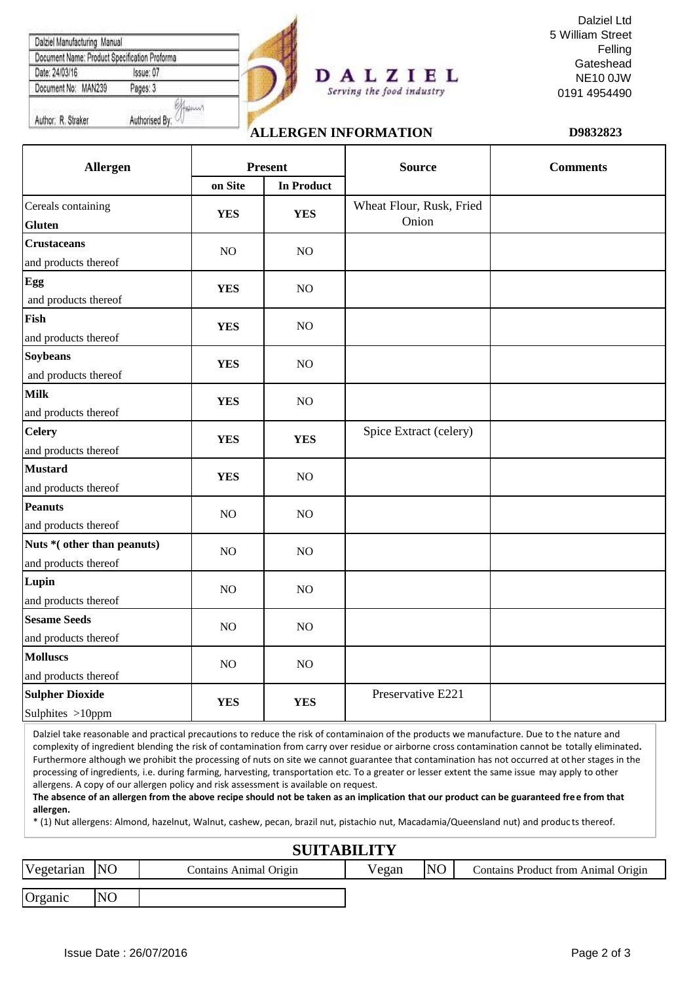| Document Name: Product Specification Proforma |           |  |
|-----------------------------------------------|-----------|--|
| Date: 24/03/16                                | Issue: 07 |  |
| Document No: MAN239                           | Pages: 3  |  |
|                                               |           |  |



#### Dalziel Ltd 5 William Street Felling **Gateshead** NE10 0JW 0191 4954490

# **ALLERGEN INFORMATION D9832823**

Serving the food industry

| Allergen                                            | <b>Present</b> |                   | <b>Source</b>                     | <b>Comments</b> |  |
|-----------------------------------------------------|----------------|-------------------|-----------------------------------|-----------------|--|
|                                                     | on Site        | <b>In Product</b> |                                   |                 |  |
| Cereals containing<br><b>Gluten</b>                 | <b>YES</b>     | <b>YES</b>        | Wheat Flour, Rusk, Fried<br>Onion |                 |  |
| <b>Crustaceans</b><br>and products thereof          | $NO$           | $\rm NO$          |                                   |                 |  |
| Egg<br>and products thereof                         | <b>YES</b>     | $\rm NO$          |                                   |                 |  |
| Fish<br>and products thereof                        | <b>YES</b>     | $\rm NO$          |                                   |                 |  |
| <b>Soybeans</b><br>and products thereof             | <b>YES</b>     | $\rm NO$          |                                   |                 |  |
| <b>Milk</b><br>and products thereof                 | <b>YES</b>     | $\rm NO$          |                                   |                 |  |
| <b>Celery</b><br>and products thereof               | <b>YES</b>     | <b>YES</b>        | Spice Extract (celery)            |                 |  |
| <b>Mustard</b><br>and products thereof              | <b>YES</b>     | $\rm NO$          |                                   |                 |  |
| <b>Peanuts</b><br>and products thereof              | $NO$           | $\rm NO$          |                                   |                 |  |
| Nuts * (other than peanuts)<br>and products thereof | NO             | $\rm NO$          |                                   |                 |  |
| Lupin<br>and products thereof                       | $NO$           | $\rm NO$          |                                   |                 |  |
| <b>Sesame Seeds</b><br>and products thereof         | N <sub>O</sub> | NO                |                                   |                 |  |
| <b>Molluscs</b><br>and products thereof             | NO             | $\rm NO$          |                                   |                 |  |
| <b>Sulpher Dioxide</b><br>Sulphites >10ppm          | <b>YES</b>     | <b>YES</b>        | Preservative E221                 |                 |  |

Dalziel take reasonable and practical precautions to reduce the risk of contaminaion of the products we manufacture. Due to the nature and complexity of ingredient blending the risk of contamination from carry over residue or airborne cross contamination cannot be totally eliminated**.**  Furthermore although we prohibit the processing of nuts on site we cannot guarantee that contamination has not occurred at other stages in the processing of ingredients, i.e. during farming, harvesting, transportation etc. To a greater or lesser extent the same issue may apply to other allergens. A copy of our allergen policy and risk assessment is available on request.

**The absence of an allergen from the above recipe should not be taken as an implication that our product can be guaranteed free from that allergen.**

\* (1) Nut allergens: Almond, hazelnut, Walnut, cashew, pecan, brazil nut, pistachio nut, Macadamia/Queensland nut) and produc ts thereof.

### Vegetarian NO Contains Animal Origin Vegan NO Organic NO Contains Product from Animal Origin **SUITABILITY**